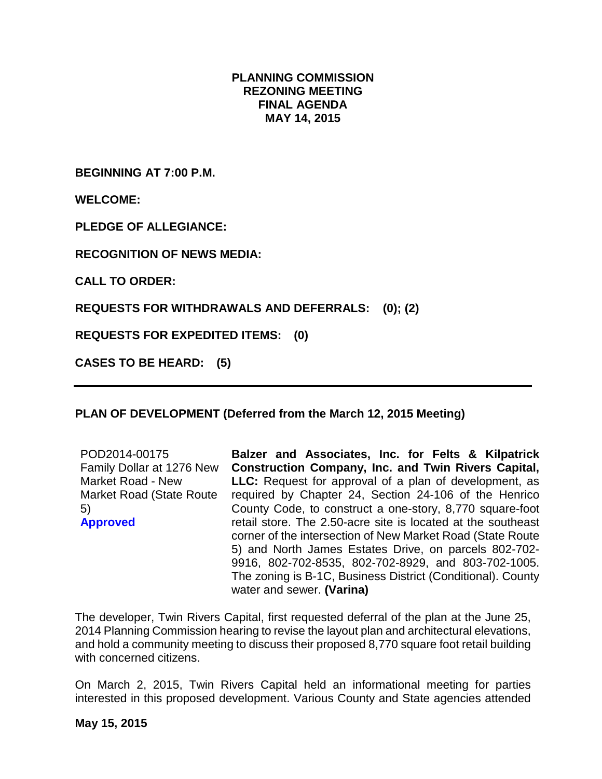## **PLANNING COMMISSION REZONING MEETING FINAL AGENDA MAY 14, 2015**

**BEGINNING AT 7:00 P.M.**

**WELCOME:**

**PLEDGE OF ALLEGIANCE:**

**RECOGNITION OF NEWS MEDIA:**

**CALL TO ORDER:**

**REQUESTS FOR WITHDRAWALS AND DEFERRALS: (0); (2)**

**REQUESTS FOR EXPEDITED ITEMS: (0)**

**CASES TO BE HEARD: (5)**

## **PLAN OF DEVELOPMENT (Deferred from the March 12, 2015 Meeting)**

| POD2014-00175             | Balzer and Associates, Inc. for Felts & Kilpatrick            |
|---------------------------|---------------------------------------------------------------|
| Family Dollar at 1276 New | <b>Construction Company, Inc. and Twin Rivers Capital,</b>    |
| <b>Market Road - New</b>  | <b>LLC:</b> Request for approval of a plan of development, as |
| Market Road (State Route  | required by Chapter 24, Section 24-106 of the Henrico         |
| 5)                        | County Code, to construct a one-story, 8,770 square-foot      |
| <b>Approved</b>           | retail store. The 2.50-acre site is located at the southeast  |
|                           | corner of the intersection of New Market Road (State Route    |
|                           | 5) and North James Estates Drive, on parcels 802-702-         |
|                           | 9916, 802-702-8535, 802-702-8929, and 803-702-1005.           |
|                           | The zoning is B-1C, Business District (Conditional). County   |
|                           | water and sewer. (Varina)                                     |

The developer, Twin Rivers Capital, first requested deferral of the plan at the June 25, 2014 Planning Commission hearing to revise the layout plan and architectural elevations, and hold a community meeting to discuss their proposed 8,770 square foot retail building with concerned citizens.

On March 2, 2015, Twin Rivers Capital held an informational meeting for parties interested in this proposed development. Various County and State agencies attended

#### **May 15, 2015**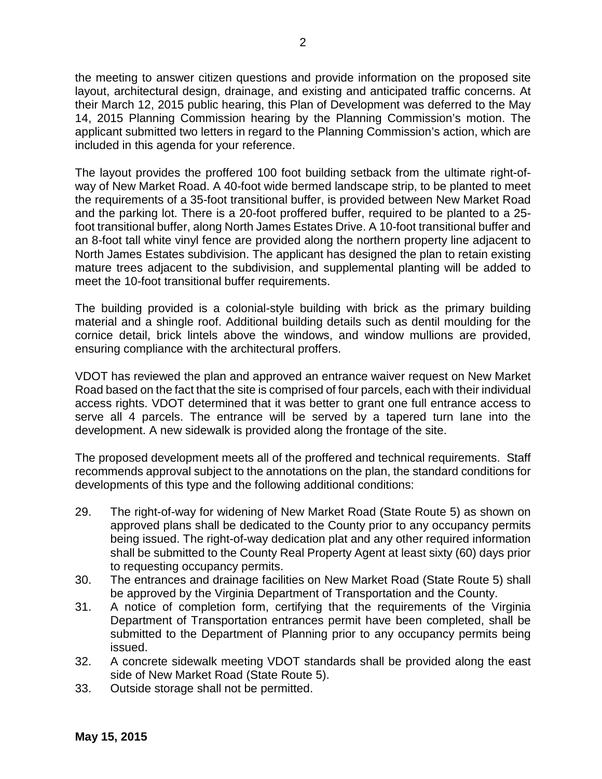the meeting to answer citizen questions and provide information on the proposed site layout, architectural design, drainage, and existing and anticipated traffic concerns. At their March 12, 2015 public hearing, this Plan of Development was deferred to the May 14, 2015 Planning Commission hearing by the Planning Commission's motion. The applicant submitted two letters in regard to the Planning Commission's action, which are included in this agenda for your reference.

The layout provides the proffered 100 foot building setback from the ultimate right-ofway of New Market Road. A 40-foot wide bermed landscape strip, to be planted to meet the requirements of a 35-foot transitional buffer, is provided between New Market Road and the parking lot. There is a 20-foot proffered buffer, required to be planted to a 25 foot transitional buffer, along North James Estates Drive. A 10-foot transitional buffer and an 8-foot tall white vinyl fence are provided along the northern property line adjacent to North James Estates subdivision. The applicant has designed the plan to retain existing mature trees adjacent to the subdivision, and supplemental planting will be added to meet the 10-foot transitional buffer requirements.

The building provided is a colonial-style building with brick as the primary building material and a shingle roof. Additional building details such as dentil moulding for the cornice detail, brick lintels above the windows, and window mullions are provided, ensuring compliance with the architectural proffers.

VDOT has reviewed the plan and approved an entrance waiver request on New Market Road based on the fact that the site is comprised of four parcels, each with their individual access rights. VDOT determined that it was better to grant one full entrance access to serve all 4 parcels. The entrance will be served by a tapered turn lane into the development. A new sidewalk is provided along the frontage of the site.

The proposed development meets all of the proffered and technical requirements. Staff recommends approval subject to the annotations on the plan, the standard conditions for developments of this type and the following additional conditions:

- 29. The right-of-way for widening of New Market Road (State Route 5) as shown on approved plans shall be dedicated to the County prior to any occupancy permits being issued. The right-of-way dedication plat and any other required information shall be submitted to the County Real Property Agent at least sixty (60) days prior to requesting occupancy permits.
- 30. The entrances and drainage facilities on New Market Road (State Route 5) shall be approved by the Virginia Department of Transportation and the County.
- 31. A notice of completion form, certifying that the requirements of the Virginia Department of Transportation entrances permit have been completed, shall be submitted to the Department of Planning prior to any occupancy permits being issued.
- 32. A concrete sidewalk meeting VDOT standards shall be provided along the east side of New Market Road (State Route 5).
- 33. Outside storage shall not be permitted.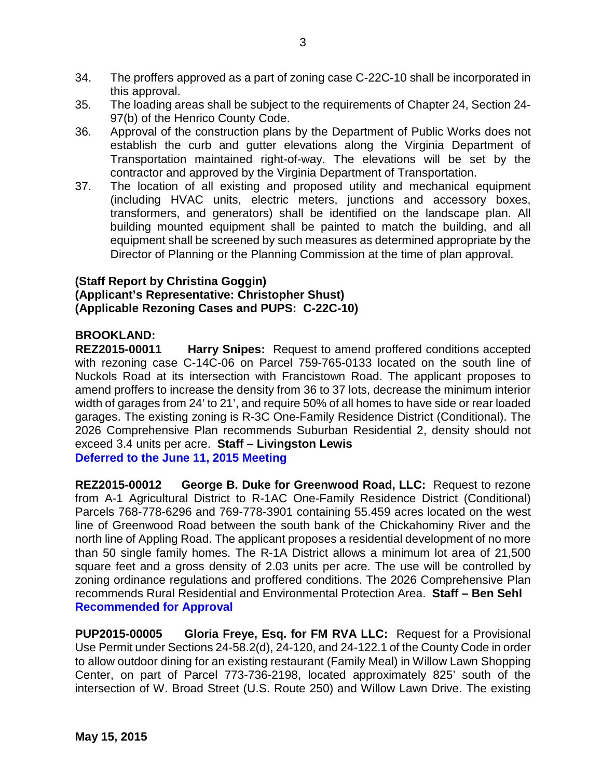- 34. The proffers approved as a part of zoning case C-22C-10 shall be incorporated in this approval.
- 35. The loading areas shall be subject to the requirements of Chapter 24, Section 24- 97(b) of the Henrico County Code.
- 36. Approval of the construction plans by the Department of Public Works does not establish the curb and gutter elevations along the Virginia Department of Transportation maintained right-of-way. The elevations will be set by the contractor and approved by the Virginia Department of Transportation.
- 37. The location of all existing and proposed utility and mechanical equipment (including HVAC units, electric meters, junctions and accessory boxes, transformers, and generators) shall be identified on the landscape plan. All building mounted equipment shall be painted to match the building, and all equipment shall be screened by such measures as determined appropriate by the Director of Planning or the Planning Commission at the time of plan approval.

# **(Staff Report by Christina Goggin) (Applicant's Representative: Christopher Shust) (Applicable Rezoning Cases and PUPS: C-22C-10)**

## **BROOKLAND:**

**REZ2015-00011 Harry Snipes:** Request to amend proffered conditions accepted with rezoning case C-14C-06 on Parcel 759-765-0133 located on the south line of Nuckols Road at its intersection with Francistown Road. The applicant proposes to amend proffers to increase the density from 36 to 37 lots, decrease the minimum interior width of garages from 24' to 21', and require 50% of all homes to have side or rear loaded garages. The existing zoning is R-3C One-Family Residence District (Conditional). The 2026 Comprehensive Plan recommends Suburban Residential 2, density should not exceed 3.4 units per acre. **Staff – Livingston Lewis Deferred to the June 11, 2015 Meeting**

**REZ2015-00012 George B. Duke for Greenwood Road, LLC:** Request to rezone from A-1 Agricultural District to R-1AC One-Family Residence District (Conditional) Parcels 768-778-6296 and 769-778-3901 containing 55.459 acres located on the west line of Greenwood Road between the south bank of the Chickahominy River and the north line of Appling Road. The applicant proposes a residential development of no more than 50 single family homes. The R-1A District allows a minimum lot area of 21,500 square feet and a gross density of 2.03 units per acre. The use will be controlled by zoning ordinance regulations and proffered conditions. The 2026 Comprehensive Plan recommends Rural Residential and Environmental Protection Area. **Staff – Ben Sehl Recommended for Approval**

**PUP2015-00005 Gloria Freye, Esq. for FM RVA LLC:** Request for a Provisional Use Permit under Sections 24-58.2(d), 24-120, and 24-122.1 of the County Code in order to allow outdoor dining for an existing restaurant (Family Meal) in Willow Lawn Shopping Center, on part of Parcel 773-736-2198, located approximately 825' south of the intersection of W. Broad Street (U.S. Route 250) and Willow Lawn Drive. The existing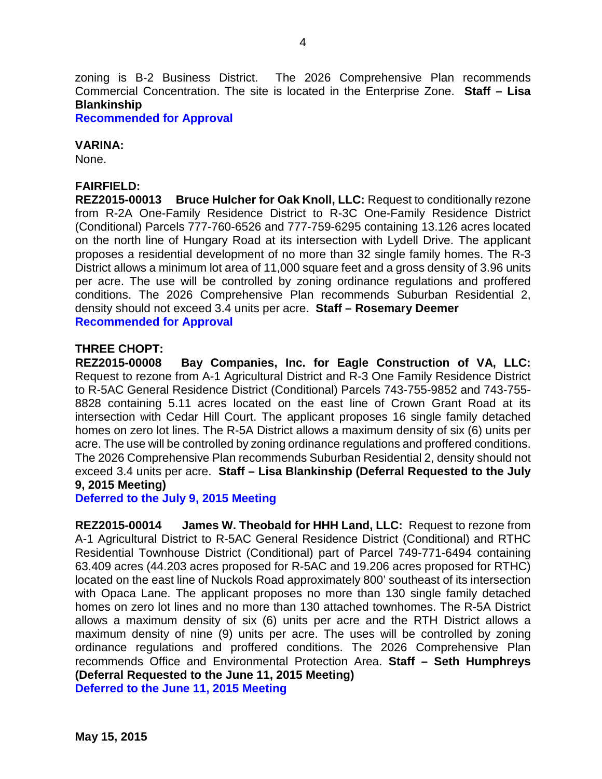zoning is B-2 Business District. The 2026 Comprehensive Plan recommends Commercial Concentration. The site is located in the Enterprise Zone. **Staff – Lisa Blankinship**

**Recommended for Approval**

#### **VARINA:**

None.

#### **FAIRFIELD:**

**REZ2015-00013 Bruce Hulcher for Oak Knoll, LLC:** Request to conditionally rezone from R-2A One-Family Residence District to R-3C One-Family Residence District (Conditional) Parcels 777-760-6526 and 777-759-6295 containing 13.126 acres located on the north line of Hungary Road at its intersection with Lydell Drive. The applicant proposes a residential development of no more than 32 single family homes. The R-3 District allows a minimum lot area of 11,000 square feet and a gross density of 3.96 units per acre. The use will be controlled by zoning ordinance regulations and proffered conditions. The 2026 Comprehensive Plan recommends Suburban Residential 2, density should not exceed 3.4 units per acre. **Staff – Rosemary Deemer Recommended for Approval**

# **THREE CHOPT:**

Bay Companies, Inc. for Eagle Construction of VA, LLC: Request to rezone from A-1 Agricultural District and R-3 One Family Residence District to R-5AC General Residence District (Conditional) Parcels 743-755-9852 and 743-755- 8828 containing 5.11 acres located on the east line of Crown Grant Road at its intersection with Cedar Hill Court. The applicant proposes 16 single family detached homes on zero lot lines. The R-5A District allows a maximum density of six (6) units per acre. The use will be controlled by zoning ordinance regulations and proffered conditions. The 2026 Comprehensive Plan recommends Suburban Residential 2, density should not exceed 3.4 units per acre. **Staff – Lisa Blankinship (Deferral Requested to the July 9, 2015 Meeting)**

**Deferred to the July 9, 2015 Meeting**

**REZ2015-00014 James W. Theobald for HHH Land, LLC:** Request to rezone from A-1 Agricultural District to R-5AC General Residence District (Conditional) and RTHC Residential Townhouse District (Conditional) part of Parcel 749-771-6494 containing 63.409 acres (44.203 acres proposed for R-5AC and 19.206 acres proposed for RTHC) located on the east line of Nuckols Road approximately 800' southeast of its intersection with Opaca Lane. The applicant proposes no more than 130 single family detached homes on zero lot lines and no more than 130 attached townhomes. The R-5A District allows a maximum density of six (6) units per acre and the RTH District allows a maximum density of nine (9) units per acre. The uses will be controlled by zoning ordinance regulations and proffered conditions. The 2026 Comprehensive Plan recommends Office and Environmental Protection Area. **Staff – Seth Humphreys (Deferral Requested to the June 11, 2015 Meeting)**

**Deferred to the June 11, 2015 Meeting**